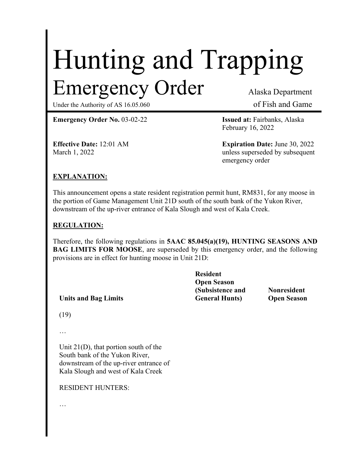# Hunting and Trapping Emergency Order Alaska Department

Under the Authority of AS 16.05.060 of Fish and Game

**Emergency Order No.** 03-02-22 **Issued at:** Fairbanks, Alaska

February 16, 2022

**Effective Date:** 12:01 AM **Expiration Date:** June 30, 2022 March 1, 2022 **unless superseded by subsequent** emergency order

## **EXPLANATION:**

This announcement opens a state resident registration permit hunt, RM831, for any moose in the portion of Game Management Unit 21D south of the south bank of the Yukon River, downstream of the up-river entrance of Kala Slough and west of Kala Creek.

### **REGULATION:**

Therefore, the following regulations in **5AAC 85.045(a)(19), HUNTING SEASONS AND BAG LIMITS FOR MOOSE**, are superseded by this emergency order, and the following provisions are in effect for hunting moose in Unit 21D:

| <b>Resident</b>        |                    |
|------------------------|--------------------|
| <b>Open Season</b>     |                    |
| (Subsistence and       | <b>Nonresident</b> |
| <b>General Hunts</b> ) | <b>Open Season</b> |
|                        |                    |

(19)

…

Unit 21(D), that portion south of the South bank of the Yukon River, downstream of the up-river entrance of Kala Slough and west of Kala Creek

RESIDENT HUNTERS:

…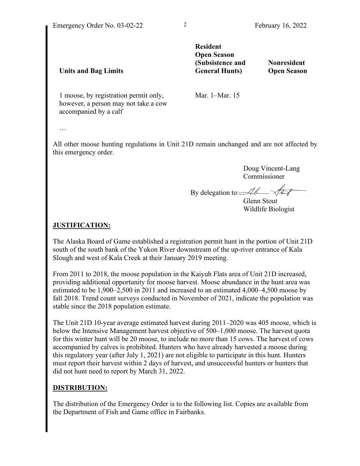**Units and Bag Limits**

**Resident Open Season (Subsistence and General Hunts)**

**Nonresident Open Season**

1 moose, by registration permit only, however, a person may not take a cow accompanied by a calf

Mar. 1–Mar. 15

…

All other moose hunting regulations in Unit 21D remain unchanged and are not affected by this emergency order.

> Doug Vincent-Lang Commissioner

By delegation to  $\mathcal{A}\ell$ 

Glenn Stout Wildlife Biologist

#### **JUSTIFICATION:**

The Alaska Board of Game established a registration permit hunt in the portion of Unit 21D south of the south bank of the Yukon River downstream of the up-river entrance of Kala Slough and west of Kala Creek at their January 2019 meeting.

From 2011 to 2018, the moose population in the Kaiyuh Flats area of Unit 21D increased, providing additional opportunity for moose harvest. Moose abundance in the hunt area was estimated to be 1,900–2,500 in 2011 and increased to an estimated 4,000–4,500 moose by fall 2018. Trend count surveys conducted in November of 2021, indicate the population was stable since the 2018 population estimate.

The Unit 21D 10-year average estimated harvest during 2011–2020 was 405 moose, which is below the Intensive Management harvest objective of 500–1,000 moose. The harvest quota for this winter hunt will be 20 moose, to include no more than 15 cows. The harvest of cows accompanied by calves is prohibited. Hunters who have already harvested a moose during this regulatory year (after July 1, 2021) are not eligible to participate in this hunt. Hunters must report their harvest within 2 days of harvest, and unsuccessful hunters or hunters that did not hunt need to report by March 31, 2022.

### **DISTRIBUTION:**

The distribution of the Emergency Order is to the following list. Copies are available from the Department of Fish and Game office in Fairbanks.